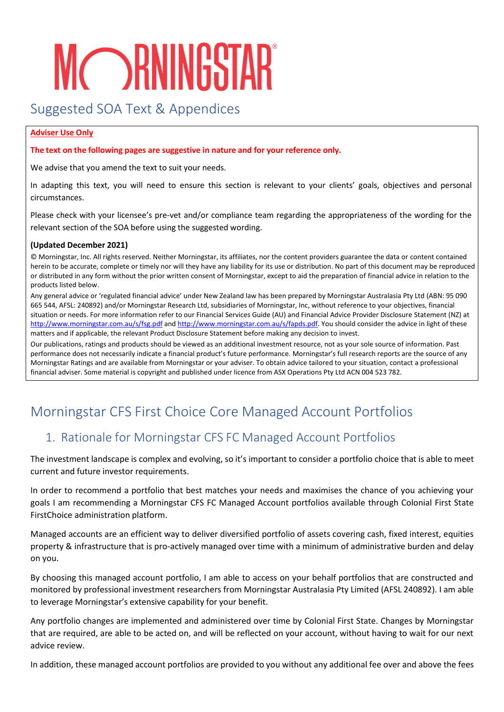# **MCORNINGSTAR**

## Suggested SOA Text & Appendices

#### **Adviser Use Only**

**The text on the following pages are suggestive in nature and for your reference only.**

We advise that you amend the text to suit your needs.

In adapting this text, you will need to ensure this section is relevant to your clients' goals, objectives and personal circumstances.

Please check with your licensee's pre-vet and/or compliance team regarding the appropriateness of the wording for the relevant section of the SOA before using the suggested wording.

#### **(Updated December 2021)**

© Morningstar, Inc. All rights reserved. Neither Morningstar, its affiliates, nor the content providers guarantee the data or content contained herein to be accurate, complete or timely nor will they have any liability for its use or distribution. No part of this document may be reproduced or distributed in any form without the prior written consent of Morningstar, except to aid the preparation of financial advice in relation to the products listed below.

Any general advice or 'regulated financial advice' under New Zealand law has been prepared by Morningstar Australasia Pty Ltd (ABN: 95 090 665 544, AFSL: 240892) and/or Morningstar Research Ltd, subsidiaries of Morningstar, Inc, without reference to your objectives, financial situation or needs. For more information refer to our Financial Services Guide (AU) and Financial Advice Provider Disclosure Statement (NZ) at <http://www.morningstar.com.au/s/fsg.pdf> and [http://www.morningstar.com.au/s/fapds.pdf.](http://www.morningstar.com.au/s/fapds.pdf) You should consider the advice in light of these matters and if applicable, the relevant Product Disclosure Statement before making any decision to invest.

Our publications, ratings and products should be viewed as an additional investment resource, not as your sole source of information. Past performance does not necessarily indicate a financial product's future performance. Morningstar's full research reports are the source of any Morningstar Ratings and are available from Morningstar or your adviser. To obtain advice tailored to your situation, contact a professional financial adviser. Some material is copyright and published under licence from ASX Operations Pty Ltd ACN 004 523 782.

## Morningstar CFS First Choice Core Managed Account Portfolios

## 1. Rationale for Morningstar CFS FC Managed Account Portfolios

The investment landscape is complex and evolving, so it's important to consider a portfolio choice that is able to meet current and future investor requirements.

In order to recommend a portfolio that best matches your needs and maximises the chance of you achieving your goals I am recommending a Morningstar CFS FC Managed Account portfolios available through Colonial First State FirstChoice administration platform.

Managed accounts are an efficient way to deliver diversified portfolio of assets covering cash, fixed interest, equities property & infrastructure that is pro-actively managed over time with a minimum of administrative burden and delay on you.

By choosing this managed account portfolio, I am able to access on your behalf portfolios that are constructed and monitored by professional investment researchers from Morningstar Australasia Pty Limited (AFSL 240892). I am able to leverage Morningstar's extensive capability for your benefit.

Any portfolio changes are implemented and administered over time by Colonial First State. Changes by Morningstar that are required, are able to be acted on, and will be reflected on your account, without having to wait for our next advice review.

In addition, these managed account portfolios are provided to you without any additional fee over and above the fees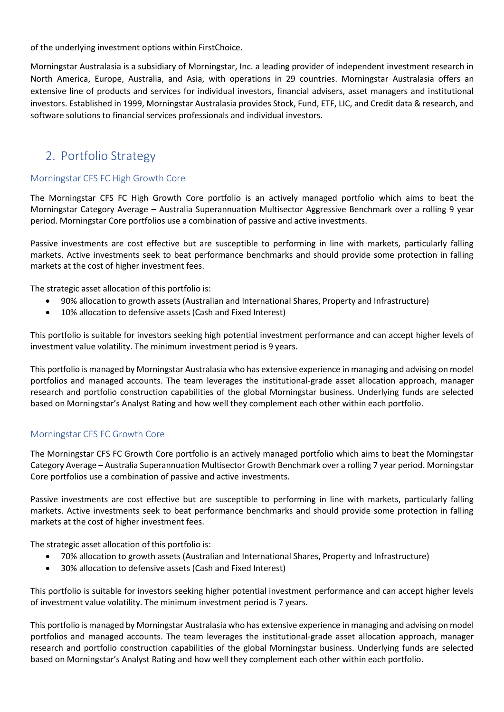of the underlying investment options within FirstChoice.

Morningstar Australasia is a subsidiary of Morningstar, Inc. a leading provider of independent investment research in North America, Europe, Australia, and Asia, with operations in 29 countries. Morningstar Australasia offers an extensive line of products and services for individual investors, financial advisers, asset managers and institutional investors. Established in 1999, Morningstar Australasia provides Stock, Fund, ETF, LIC, and Credit data & research, and software solutions to financial services professionals and individual investors.

### 2. Portfolio Strategy

#### Morningstar CFS FC High Growth Core

The Morningstar CFS FC High Growth Core portfolio is an actively managed portfolio which aims to beat the Morningstar Category Average – Australia Superannuation Multisector Aggressive Benchmark over a rolling 9 year period. Morningstar Core portfolios use a combination of passive and active investments.

Passive investments are cost effective but are susceptible to performing in line with markets, particularly falling markets. Active investments seek to beat performance benchmarks and should provide some protection in falling markets at the cost of higher investment fees.

The strategic asset allocation of this portfolio is:

- 90% allocation to growth assets (Australian and International Shares, Property and Infrastructure)
- 10% allocation to defensive assets (Cash and Fixed Interest)

This portfolio is suitable for investors seeking high potential investment performance and can accept higher levels of investment value volatility. The minimum investment period is 9 years.

This portfolio is managed by Morningstar Australasia who has extensive experience in managing and advising on model portfolios and managed accounts. The team leverages the institutional-grade asset allocation approach, manager research and portfolio construction capabilities of the global Morningstar business. Underlying funds are selected based on Morningstar's Analyst Rating and how well they complement each other within each portfolio.

#### Morningstar CFS FC Growth Core

The Morningstar CFS FC Growth Core portfolio is an actively managed portfolio which aims to beat the Morningstar Category Average – Australia Superannuation Multisector Growth Benchmark over a rolling 7 year period. Morningstar Core portfolios use a combination of passive and active investments.

Passive investments are cost effective but are susceptible to performing in line with markets, particularly falling markets. Active investments seek to beat performance benchmarks and should provide some protection in falling markets at the cost of higher investment fees.

The strategic asset allocation of this portfolio is:

- 70% allocation to growth assets (Australian and International Shares, Property and Infrastructure)
- 30% allocation to defensive assets (Cash and Fixed Interest)

This portfolio is suitable for investors seeking higher potential investment performance and can accept higher levels of investment value volatility. The minimum investment period is 7 years.

This portfolio is managed by Morningstar Australasia who has extensive experience in managing and advising on model portfolios and managed accounts. The team leverages the institutional-grade asset allocation approach, manager research and portfolio construction capabilities of the global Morningstar business. Underlying funds are selected based on Morningstar's Analyst Rating and how well they complement each other within each portfolio.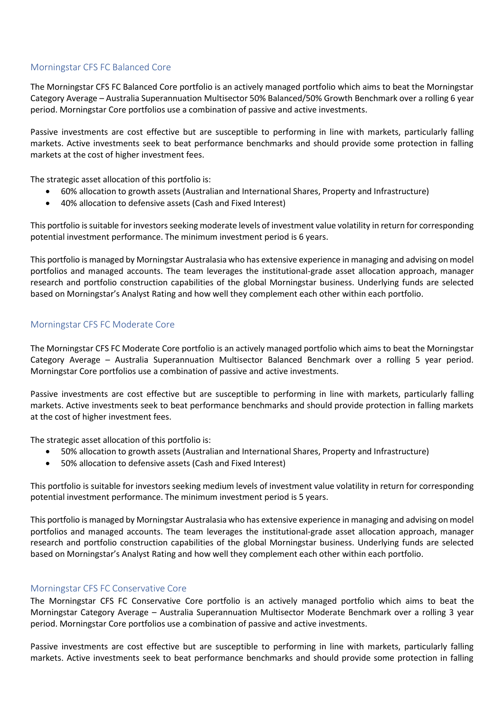#### Morningstar CFS FC Balanced Core

The Morningstar CFS FC Balanced Core portfolio is an actively managed portfolio which aims to beat the Morningstar Category Average – Australia Superannuation Multisector 50% Balanced/50% Growth Benchmark over a rolling 6 year period. Morningstar Core portfolios use a combination of passive and active investments.

Passive investments are cost effective but are susceptible to performing in line with markets, particularly falling markets. Active investments seek to beat performance benchmarks and should provide some protection in falling markets at the cost of higher investment fees.

The strategic asset allocation of this portfolio is:

- 60% allocation to growth assets (Australian and International Shares, Property and Infrastructure)
- 40% allocation to defensive assets (Cash and Fixed Interest)

This portfolio is suitable for investors seeking moderate levels of investment value volatility in return for corresponding potential investment performance. The minimum investment period is 6 years.

This portfolio is managed by Morningstar Australasia who has extensive experience in managing and advising on model portfolios and managed accounts. The team leverages the institutional-grade asset allocation approach, manager research and portfolio construction capabilities of the global Morningstar business. Underlying funds are selected based on Morningstar's Analyst Rating and how well they complement each other within each portfolio.

#### Morningstar CFS FC Moderate Core

The Morningstar CFS FC Moderate Core portfolio is an actively managed portfolio which aims to beat the Morningstar Category Average – Australia Superannuation Multisector Balanced Benchmark over a rolling 5 year period. Morningstar Core portfolios use a combination of passive and active investments.

Passive investments are cost effective but are susceptible to performing in line with markets, particularly falling markets. Active investments seek to beat performance benchmarks and should provide protection in falling markets at the cost of higher investment fees.

The strategic asset allocation of this portfolio is:

- 50% allocation to growth assets (Australian and International Shares, Property and Infrastructure)
- 50% allocation to defensive assets (Cash and Fixed Interest)

This portfolio is suitable for investors seeking medium levels of investment value volatility in return for corresponding potential investment performance. The minimum investment period is 5 years.

This portfolio is managed by Morningstar Australasia who has extensive experience in managing and advising on model portfolios and managed accounts. The team leverages the institutional-grade asset allocation approach, manager research and portfolio construction capabilities of the global Morningstar business. Underlying funds are selected based on Morningstar's Analyst Rating and how well they complement each other within each portfolio.

#### Morningstar CFS FC Conservative Core

The Morningstar CFS FC Conservative Core portfolio is an actively managed portfolio which aims to beat the Morningstar Category Average – Australia Superannuation Multisector Moderate Benchmark over a rolling 3 year period. Morningstar Core portfolios use a combination of passive and active investments.

Passive investments are cost effective but are susceptible to performing in line with markets, particularly falling markets. Active investments seek to beat performance benchmarks and should provide some protection in falling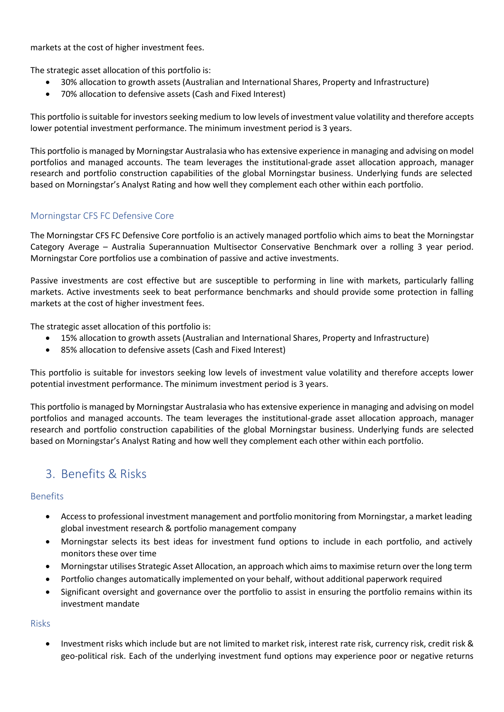markets at the cost of higher investment fees.

The strategic asset allocation of this portfolio is:

- 30% allocation to growth assets (Australian and International Shares, Property and Infrastructure)
- 70% allocation to defensive assets (Cash and Fixed Interest)

This portfolio is suitable for investors seeking medium to low levels of investment value volatility and therefore accepts lower potential investment performance. The minimum investment period is 3 years.

This portfolio is managed by Morningstar Australasia who has extensive experience in managing and advising on model portfolios and managed accounts. The team leverages the institutional-grade asset allocation approach, manager research and portfolio construction capabilities of the global Morningstar business. Underlying funds are selected based on Morningstar's Analyst Rating and how well they complement each other within each portfolio.

#### Morningstar CFS FC Defensive Core

The Morningstar CFS FC Defensive Core portfolio is an actively managed portfolio which aims to beat the Morningstar Category Average – Australia Superannuation Multisector Conservative Benchmark over a rolling 3 year period. Morningstar Core portfolios use a combination of passive and active investments.

Passive investments are cost effective but are susceptible to performing in line with markets, particularly falling markets. Active investments seek to beat performance benchmarks and should provide some protection in falling markets at the cost of higher investment fees.

The strategic asset allocation of this portfolio is:

- 15% allocation to growth assets (Australian and International Shares, Property and Infrastructure)
- 85% allocation to defensive assets (Cash and Fixed Interest)

This portfolio is suitable for investors seeking low levels of investment value volatility and therefore accepts lower potential investment performance. The minimum investment period is 3 years.

This portfolio is managed by Morningstar Australasia who has extensive experience in managing and advising on model portfolios and managed accounts. The team leverages the institutional-grade asset allocation approach, manager research and portfolio construction capabilities of the global Morningstar business. Underlying funds are selected based on Morningstar's Analyst Rating and how well they complement each other within each portfolio.

## 3. Benefits & Risks

#### Benefits

- Accessto professional investment management and portfolio monitoring from Morningstar, a market leading global investment research & portfolio management company
- Morningstar selects its best ideas for investment fund options to include in each portfolio, and actively monitors these over time
- Morningstar utilises Strategic Asset Allocation, an approach which aimsto maximise return over the long term
- Portfolio changes automatically implemented on your behalf, without additional paperwork required
- Significant oversight and governance over the portfolio to assist in ensuring the portfolio remains within its investment mandate

#### Risks

Investment risks which include but are not limited to market risk, interest rate risk, currency risk, credit risk & geo-political risk. Each of the underlying investment fund options may experience poor or negative returns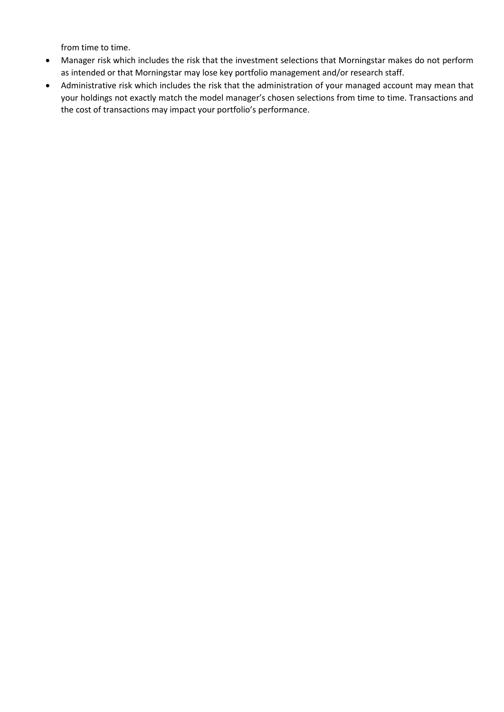from time to time.

- Manager risk which includes the risk that the investment selections that Morningstar makes do not perform as intended or that Morningstar may lose key portfolio management and/or research staff.
- Administrative risk which includes the risk that the administration of your managed account may mean that your holdings not exactly match the model manager's chosen selections from time to time. Transactions and the cost of transactions may impact your portfolio's performance.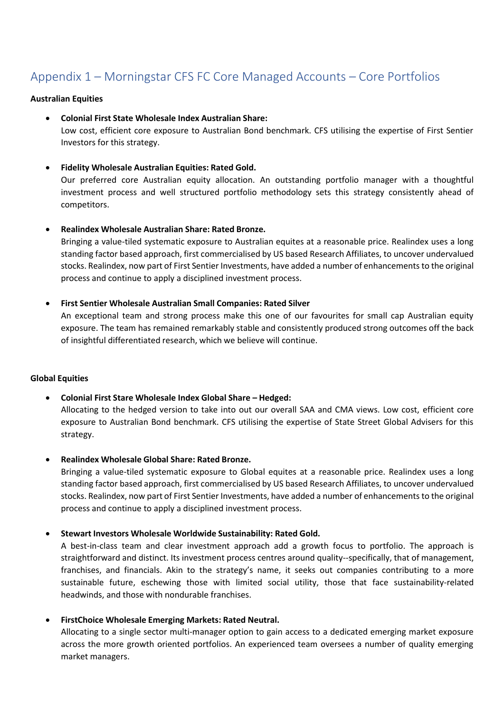## Appendix 1 – Morningstar CFS FC Core Managed Accounts – Core Portfolios

#### **Australian Equities**

• **Colonial First State Wholesale Index Australian Share:**

Low cost, efficient core exposure to Australian Bond benchmark. CFS utilising the expertise of First Sentier Investors for this strategy.

• **Fidelity Wholesale Australian Equities: Rated Gold.**

Our preferred core Australian equity allocation. An outstanding portfolio manager with a thoughtful investment process and well structured portfolio methodology sets this strategy consistently ahead of competitors.

#### • **Realindex Wholesale Australian Share: Rated Bronze.**

Bringing a value-tiled systematic exposure to Australian equites at a reasonable price. Realindex uses a long standing factor based approach, first commercialised by US based Research Affiliates, to uncover undervalued stocks. Realindex, now part of First Sentier Investments, have added a number of enhancements to the original process and continue to apply a disciplined investment process.

#### • **First Sentier Wholesale Australian Small Companies: Rated Silver**

An exceptional team and strong process make this one of our favourites for small cap Australian equity exposure. The team has remained remarkably stable and consistently produced strong outcomes off the back of insightful differentiated research, which we believe will continue.

#### **Global Equities**

- **Colonial First Stare Wholesale Index Global Share – Hedged:** Allocating to the hedged version to take into out our overall SAA and CMA views. Low cost, efficient core exposure to Australian Bond benchmark. CFS utilising the expertise of State Street Global Advisers for this strategy.
- **Realindex Wholesale Global Share: Rated Bronze.**

Bringing a value-tiled systematic exposure to Global equites at a reasonable price. Realindex uses a long standing factor based approach, first commercialised by US based Research Affiliates, to uncover undervalued stocks. Realindex, now part of First Sentier Investments, have added a number of enhancements to the original process and continue to apply a disciplined investment process.

#### • **Stewart Investors Wholesale Worldwide Sustainability: Rated Gold.**

A best-in-class team and clear investment approach add a growth focus to portfolio. The approach is straightforward and distinct. Its investment process centres around quality--specifically, that of management, franchises, and financials. Akin to the strategy's name, it seeks out companies contributing to a more sustainable future, eschewing those with limited social utility, those that face sustainability-related headwinds, and those with nondurable franchises.

#### • **FirstChoice Wholesale Emerging Markets: Rated Neutral.**

Allocating to a single sector multi-manager option to gain access to a dedicated emerging market exposure across the more growth oriented portfolios. An experienced team oversees a number of quality emerging market managers.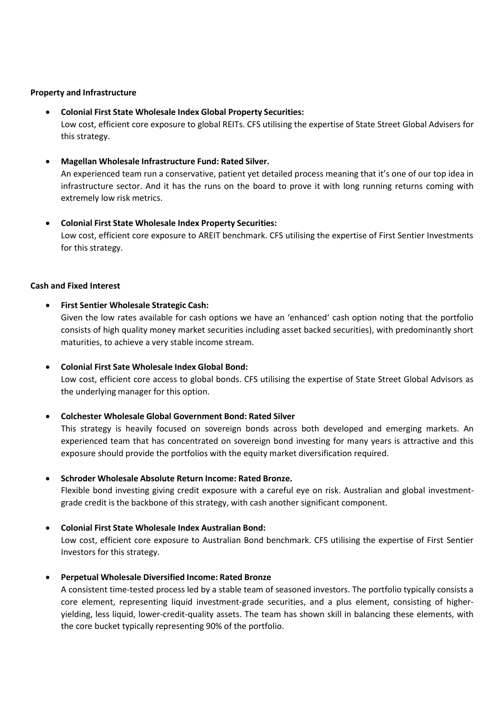#### **Property and Infrastructure**

- **Colonial First State Wholesale Index Global Property Securities:** Low cost, efficient core exposure to global REITs. CFS utilising the expertise of State Street Global Advisers for this strategy.
- **Magellan Wholesale Infrastructure Fund: Rated Silver.**

An experienced team run a conservative, patient yet detailed process meaning that it's one of our top idea in infrastructure sector. And it has the runs on the board to prove it with long running returns coming with extremely low risk metrics.

• **Colonial First State Wholesale Index Property Securities:** Low cost, efficient core exposure to AREIT benchmark. CFS utilising the expertise of First Sentier Investments for this strategy.

#### **Cash and Fixed Interest**

• **First Sentier Wholesale Strategic Cash:**

Given the low rates available for cash options we have an 'enhanced' cash option noting that the portfolio consists of high quality money market securities including asset backed securities), with predominantly short maturities, to achieve a very stable income stream.

• **Colonial First Sate Wholesale Index Global Bond:**

Low cost, efficient core access to global bonds. CFS utilising the expertise of State Street Global Advisors as the underlying manager for this option.

• **Colchester Wholesale Global Government Bond: Rated Silver**

This strategy is heavily focused on sovereign bonds across both developed and emerging markets. An experienced team that has concentrated on sovereign bond investing for many years is attractive and this exposure should provide the portfolios with the equity market diversification required.

• **Schroder Wholesale Absolute Return Income: Rated Bronze.**

Flexible bond investing giving credit exposure with a careful eye on risk. Australian and global investmentgrade credit is the backbone of this strategy, with cash another significant component.

• **Colonial First State Wholesale Index Australian Bond:**

Low cost, efficient core exposure to Australian Bond benchmark. CFS utilising the expertise of First Sentier Investors for this strategy.

• **Perpetual Wholesale Diversified Income: Rated Bronze**

A consistent time-tested process led by a stable team of seasoned investors. The portfolio typically consists a core element, representing liquid investment-grade securities, and a plus element, consisting of higheryielding, less liquid, lower-credit-quality assets. The team has shown skill in balancing these elements, with the core bucket typically representing 90% of the portfolio.